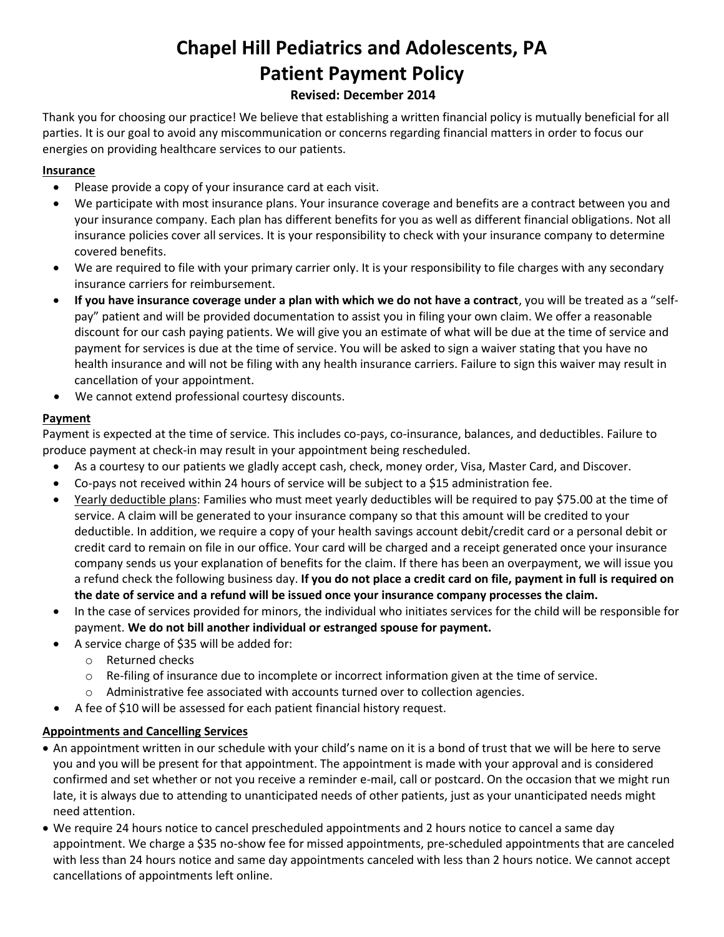# **Chapel Hill Pediatrics and Adolescents, PA Patient Payment Policy**

## **Revised: December 2014**

Thank you for choosing our practice! We believe that establishing a written financial policy is mutually beneficial for all parties. It is our goal to avoid any miscommunication or concerns regarding financial matters in order to focus our energies on providing healthcare services to our patients.

## **Insurance**

- Please provide a copy of your insurance card at each visit.
- We participate with most insurance plans. Your insurance coverage and benefits are a contract between you and your insurance company. Each plan has different benefits for you as well as different financial obligations. Not all insurance policies cover all services. It is your responsibility to check with your insurance company to determine covered benefits.
- We are required to file with your primary carrier only. It is your responsibility to file charges with any secondary insurance carriers for reimbursement.
- **If you have insurance coverage under a plan with which we do not have a contract**, you will be treated as a "selfpay" patient and will be provided documentation to assist you in filing your own claim. We offer a reasonable discount for our cash paying patients. We will give you an estimate of what will be due at the time of service and payment for services is due at the time of service. You will be asked to sign a waiver stating that you have no health insurance and will not be filing with any health insurance carriers. Failure to sign this waiver may result in cancellation of your appointment.
- We cannot extend professional courtesy discounts.

## **Payment**

Payment is expected at the time of service*.* This includes co-pays, co-insurance, balances, and deductibles. Failure to produce payment at check-in may result in your appointment being rescheduled.

- As a courtesy to our patients we gladly accept cash, check, money order, Visa, Master Card, and Discover.
- Co-pays not received within 24 hours of service will be subject to a \$15 administration fee.
- Yearly deductible plans: Families who must meet yearly deductibles will be required to pay \$75.00 at the time of service. A claim will be generated to your insurance company so that this amount will be credited to your deductible. In addition, we require a copy of your health savings account debit/credit card or a personal debit or credit card to remain on file in our office. Your card will be charged and a receipt generated once your insurance company sends us your explanation of benefits for the claim. If there has been an overpayment, we will issue you a refund check the following business day. **If you do not place a credit card on file, payment in full is required on the date of service and a refund will be issued once your insurance company processes the claim.**
- In the case of services provided for minors, the individual who initiates services for the child will be responsible for payment. **We do not bill another individual or estranged spouse for payment.**
- A service charge of \$35 will be added for:
	- o Returned checks
	- o Re-filing of insurance due to incomplete or incorrect information given at the time of service.
	- $\circ$  Administrative fee associated with accounts turned over to collection agencies.
- A fee of \$10 will be assessed for each patient financial history request.

## **Appointments and Cancelling Services**

- An appointment written in our schedule with your child's name on it is a bond of trust that we will be here to serve you and you will be present for that appointment. The appointment is made with your approval and is considered confirmed and set whether or not you receive a reminder e-mail, call or postcard. On the occasion that we might run late, it is always due to attending to unanticipated needs of other patients, just as your unanticipated needs might need attention.
- We require 24 hours notice to cancel prescheduled appointments and 2 hours notice to cancel a same day appointment. We charge a \$35 no-show fee for missed appointments, pre-scheduled appointments that are canceled with less than 24 hours notice and same day appointments canceled with less than 2 hours notice. We cannot accept cancellations of appointments left online.